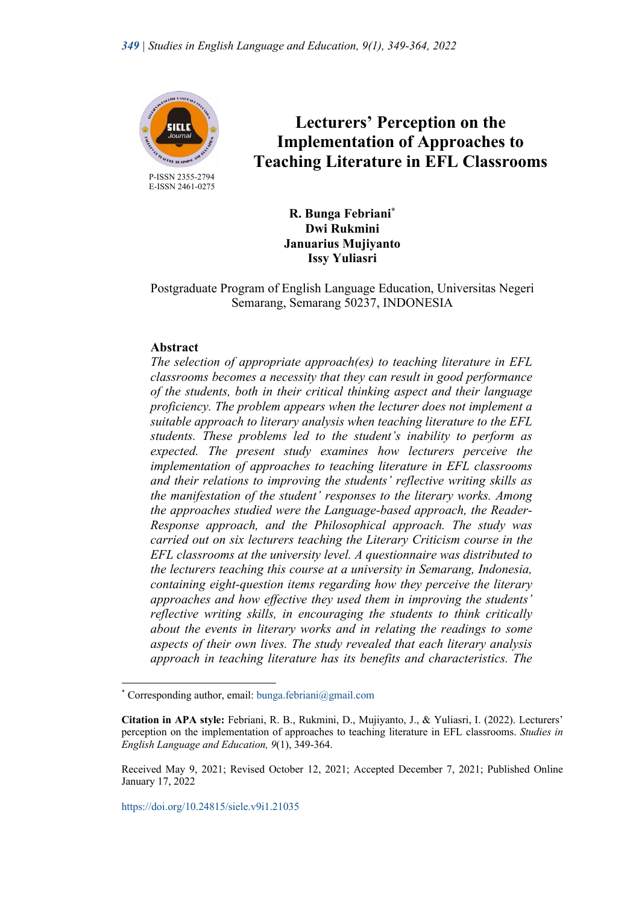

 P-ISSN 2355-2794 E-ISSN 2461-0275

# **Lecturers' Perception on the Implementation of Approaches to Teaching Literature in EFL Classrooms**

**R. Bunga Febriani\* Dwi Rukmini Januarius Mujiyanto Issy Yuliasri**

Postgraduate Program of English Language Education, Universitas Negeri Semarang, Semarang 50237, INDONESIA

# **Abstract**

*The selection of appropriate approach(es) to teaching literature in EFL classrooms becomes a necessity that they can result in good performance of the students, both in their critical thinking aspect and their language proficiency. The problem appears when the lecturer does not implement a suitable approach to literary analysis when teaching literature to the EFL students. These problems led to the student's inability to perform as expected. The present study examines how lecturers perceive the implementation of approaches to teaching literature in EFL classrooms and their relations to improving the students' reflective writing skills as the manifestation of the student' responses to the literary works. Among the approaches studied were the Language-based approach, the Reader-Response approach, and the Philosophical approach. The study was carried out on six lecturers teaching the Literary Criticism course in the EFL classrooms at the university level. A questionnaire was distributed to the lecturers teaching this course at a university in Semarang, Indonesia, containing eight-question items regarding how they perceive the literary approaches and how effective they used them in improving the students' reflective writing skills, in encouraging the students to think critically about the events in literary works and in relating the readings to some aspects of their own lives. The study revealed that each literary analysis approach in teaching literature has its benefits and characteristics. The* 

<sup>\*</sup> Corresponding author, email: bunga.febriani@gmail.com

**Citation in APA style:** Febriani, R. B., Rukmini, D., Mujiyanto, J., & Yuliasri, I. (2022). Lecturers' perception on the implementation of approaches to teaching literature in EFL classrooms. *Studies in English Language and Education, 9*(1), 349-364.

Received May 9, 2021; Revised October 12, 2021; Accepted December 7, 2021; Published Online January 17, 2022

https://doi.org/10.24815/siele.v9i1.21035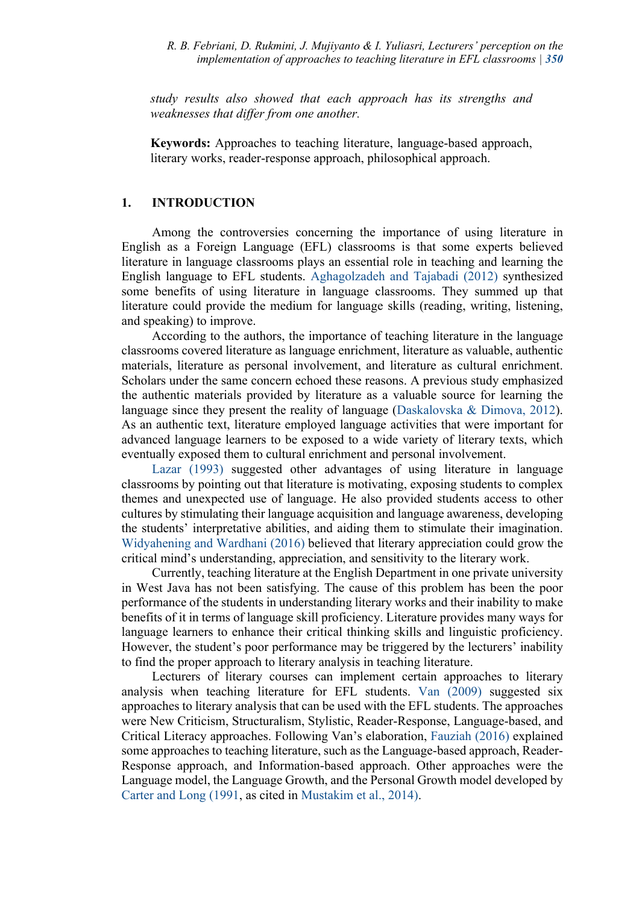*study results also showed that each approach has its strengths and weaknesses that differ from one another.*

**Keywords:** Approaches to teaching literature, language-based approach, literary works, reader-response approach, philosophical approach.

## **1. INTRODUCTION**

Among the controversies concerning the importance of using literature in English as a Foreign Language (EFL) classrooms is that some experts believed literature in language classrooms plays an essential role in teaching and learning the English language to EFL students. Aghagolzadeh and Tajabadi (2012) synthesized some benefits of using literature in language classrooms. They summed up that literature could provide the medium for language skills (reading, writing, listening, and speaking) to improve.

According to the authors, the importance of teaching literature in the language classrooms covered literature as language enrichment, literature as valuable, authentic materials, literature as personal involvement, and literature as cultural enrichment. Scholars under the same concern echoed these reasons. A previous study emphasized the authentic materials provided by literature as a valuable source for learning the language since they present the reality of language (Daskalovska & Dimova, 2012). As an authentic text, literature employed language activities that were important for advanced language learners to be exposed to a wide variety of literary texts, which eventually exposed them to cultural enrichment and personal involvement.

Lazar (1993) suggested other advantages of using literature in language classrooms by pointing out that literature is motivating, exposing students to complex themes and unexpected use of language. He also provided students access to other cultures by stimulating their language acquisition and language awareness, developing the students' interpretative abilities, and aiding them to stimulate their imagination. Widyahening and Wardhani (2016) believed that literary appreciation could grow the critical mind's understanding, appreciation, and sensitivity to the literary work.

Currently, teaching literature at the English Department in one private university in West Java has not been satisfying. The cause of this problem has been the poor performance of the students in understanding literary works and their inability to make benefits of it in terms of language skill proficiency. Literature provides many ways for language learners to enhance their critical thinking skills and linguistic proficiency. However, the student's poor performance may be triggered by the lecturers' inability to find the proper approach to literary analysis in teaching literature.

Lecturers of literary courses can implement certain approaches to literary analysis when teaching literature for EFL students. Van (2009) suggested six approaches to literary analysis that can be used with the EFL students. The approaches were New Criticism, Structuralism, Stylistic, Reader-Response, Language-based, and Critical Literacy approaches. Following Van's elaboration, Fauziah (2016) explained some approaches to teaching literature, such as the Language-based approach, Reader-Response approach, and Information-based approach. Other approaches were the Language model, the Language Growth, and the Personal Growth model developed by Carter and Long (1991, as cited in Mustakim et al., 2014).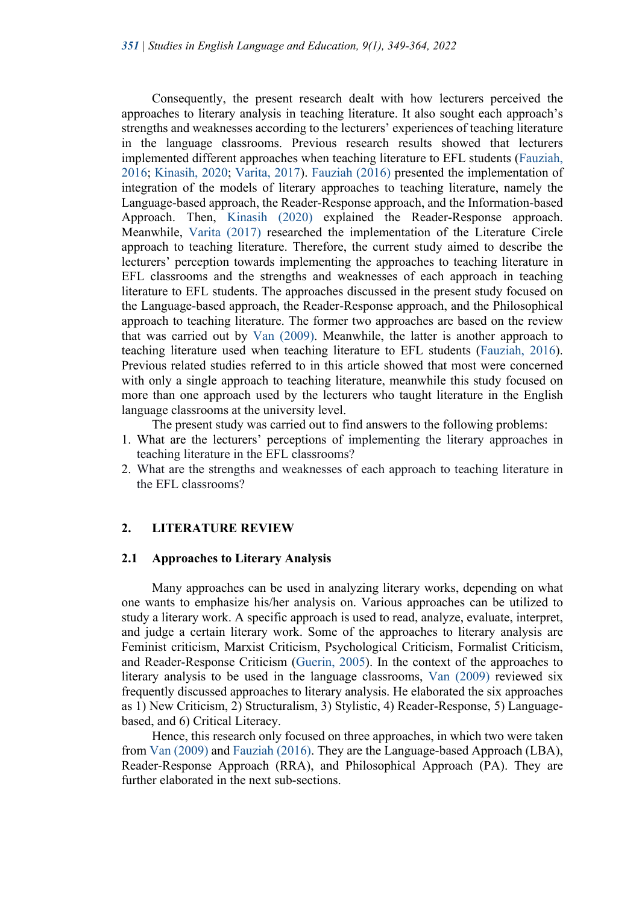Consequently, the present research dealt with how lecturers perceived the approaches to literary analysis in teaching literature. It also sought each approach's strengths and weaknesses according to the lecturers' experiences of teaching literature in the language classrooms. Previous research results showed that lecturers implemented different approaches when teaching literature to EFL students (Fauziah, 2016; Kinasih, 2020; Varita, 2017). Fauziah (2016) presented the implementation of integration of the models of literary approaches to teaching literature, namely the Language-based approach, the Reader-Response approach, and the Information-based Approach. Then, Kinasih (2020) explained the Reader-Response approach. Meanwhile, Varita (2017) researched the implementation of the Literature Circle approach to teaching literature. Therefore, the current study aimed to describe the lecturers' perception towards implementing the approaches to teaching literature in EFL classrooms and the strengths and weaknesses of each approach in teaching literature to EFL students. The approaches discussed in the present study focused on the Language-based approach, the Reader-Response approach, and the Philosophical approach to teaching literature. The former two approaches are based on the review that was carried out by Van (2009). Meanwhile, the latter is another approach to teaching literature used when teaching literature to EFL students (Fauziah, 2016). Previous related studies referred to in this article showed that most were concerned with only a single approach to teaching literature, meanwhile this study focused on more than one approach used by the lecturers who taught literature in the English language classrooms at the university level.

The present study was carried out to find answers to the following problems:

- 1. What are the lecturers' perceptions of implementing the literary approaches in teaching literature in the EFL classrooms?
- 2. What are the strengths and weaknesses of each approach to teaching literature in the EFL classrooms?

#### **2. LITERATURE REVIEW**

#### **2.1 Approaches to Literary Analysis**

Many approaches can be used in analyzing literary works, depending on what one wants to emphasize his/her analysis on. Various approaches can be utilized to study a literary work. A specific approach is used to read, analyze, evaluate, interpret, and judge a certain literary work. Some of the approaches to literary analysis are Feminist criticism, Marxist Criticism, Psychological Criticism, Formalist Criticism, and Reader-Response Criticism (Guerin, 2005). In the context of the approaches to literary analysis to be used in the language classrooms, Van (2009) reviewed six frequently discussed approaches to literary analysis. He elaborated the six approaches as 1) New Criticism, 2) Structuralism, 3) Stylistic, 4) Reader-Response, 5) Languagebased, and 6) Critical Literacy.

Hence, this research only focused on three approaches, in which two were taken from Van (2009) and Fauziah (2016). They are the Language-based Approach (LBA), Reader-Response Approach (RRA), and Philosophical Approach (PA). They are further elaborated in the next sub-sections.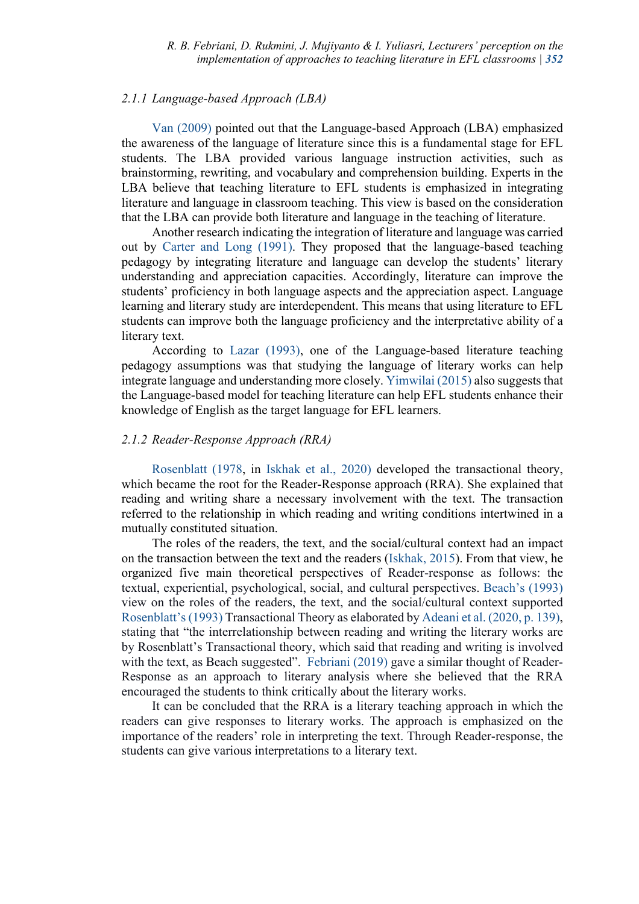### *2.1.1 Language-based Approach (LBA)*

Van (2009) pointed out that the Language-based Approach (LBA) emphasized the awareness of the language of literature since this is a fundamental stage for EFL students. The LBA provided various language instruction activities, such as brainstorming, rewriting, and vocabulary and comprehension building. Experts in the LBA believe that teaching literature to EFL students is emphasized in integrating literature and language in classroom teaching. This view is based on the consideration that the LBA can provide both literature and language in the teaching of literature.

Another research indicating the integration of literature and language was carried out by Carter and Long (1991). They proposed that the language-based teaching pedagogy by integrating literature and language can develop the students' literary understanding and appreciation capacities. Accordingly, literature can improve the students' proficiency in both language aspects and the appreciation aspect. Language learning and literary study are interdependent. This means that using literature to EFL students can improve both the language proficiency and the interpretative ability of a literary text.

According to Lazar (1993), one of the Language-based literature teaching pedagogy assumptions was that studying the language of literary works can help integrate language and understanding more closely. Yimwilai (2015) also suggests that the Language-based model for teaching literature can help EFL students enhance their knowledge of English as the target language for EFL learners.

## *2.1.2 Reader-Response Approach (RRA)*

Rosenblatt (1978, in Iskhak et al., 2020) developed the transactional theory, which became the root for the Reader-Response approach (RRA). She explained that reading and writing share a necessary involvement with the text. The transaction referred to the relationship in which reading and writing conditions intertwined in a mutually constituted situation.

The roles of the readers, the text, and the social/cultural context had an impact on the transaction between the text and the readers (Iskhak, 2015). From that view, he organized five main theoretical perspectives of Reader-response as follows: the textual, experiential, psychological, social, and cultural perspectives. Beach's (1993) view on the roles of the readers, the text, and the social/cultural context supported Rosenblatt's(1993) Transactional Theory as elaborated by Adeani et al. (2020, p. 139), stating that "the interrelationship between reading and writing the literary works are by Rosenblatt's Transactional theory, which said that reading and writing is involved with the text, as Beach suggested". Febriani (2019) gave a similar thought of Reader-Response as an approach to literary analysis where she believed that the RRA encouraged the students to think critically about the literary works.

It can be concluded that the RRA is a literary teaching approach in which the readers can give responses to literary works. The approach is emphasized on the importance of the readers' role in interpreting the text. Through Reader-response, the students can give various interpretations to a literary text.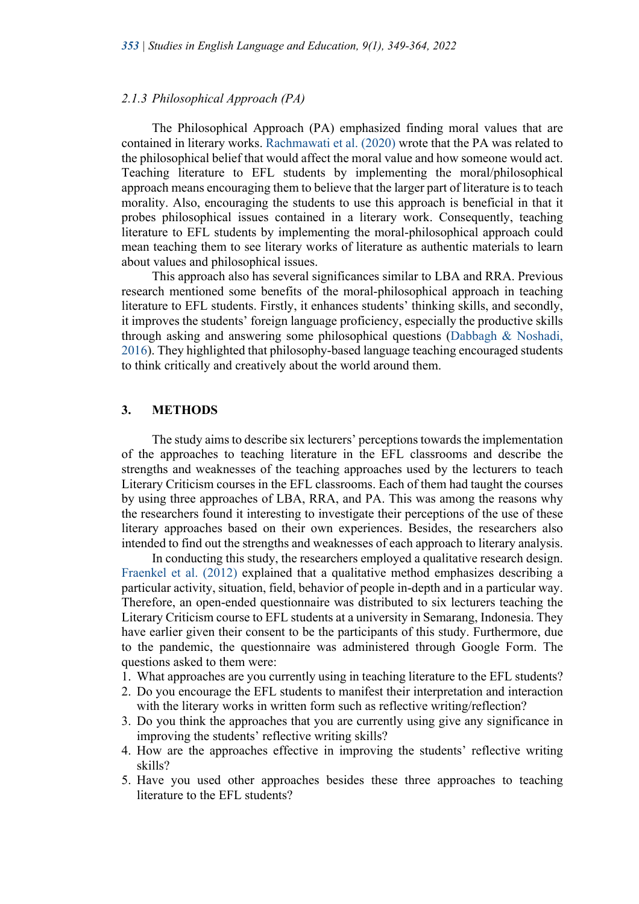#### *2.1.3 Philosophical Approach (PA)*

The Philosophical Approach (PA) emphasized finding moral values that are contained in literary works. Rachmawati et al. (2020) wrote that the PA was related to the philosophical belief that would affect the moral value and how someone would act. Teaching literature to EFL students by implementing the moral/philosophical approach means encouraging them to believe that the larger part of literature is to teach morality. Also, encouraging the students to use this approach is beneficial in that it probes philosophical issues contained in a literary work. Consequently, teaching literature to EFL students by implementing the moral-philosophical approach could mean teaching them to see literary works of literature as authentic materials to learn about values and philosophical issues.

This approach also has several significances similar to LBA and RRA. Previous research mentioned some benefits of the moral-philosophical approach in teaching literature to EFL students. Firstly, it enhances students' thinking skills, and secondly, it improves the students' foreign language proficiency, especially the productive skills through asking and answering some philosophical questions (Dabbagh & Noshadi, 2016). They highlighted that philosophy-based language teaching encouraged students to think critically and creatively about the world around them.

## **3. METHODS**

The study aims to describe six lecturers' perceptions towards the implementation of the approaches to teaching literature in the EFL classrooms and describe the strengths and weaknesses of the teaching approaches used by the lecturers to teach Literary Criticism courses in the EFL classrooms. Each of them had taught the courses by using three approaches of LBA, RRA, and PA. This was among the reasons why the researchers found it interesting to investigate their perceptions of the use of these literary approaches based on their own experiences. Besides, the researchers also intended to find out the strengths and weaknesses of each approach to literary analysis.

In conducting this study, the researchers employed a qualitative research design. Fraenkel et al. (2012) explained that a qualitative method emphasizes describing a particular activity, situation, field, behavior of people in-depth and in a particular way. Therefore, an open-ended questionnaire was distributed to six lecturers teaching the Literary Criticism course to EFL students at a university in Semarang, Indonesia. They have earlier given their consent to be the participants of this study. Furthermore, due to the pandemic, the questionnaire was administered through Google Form. The questions asked to them were:

- 1. What approaches are you currently using in teaching literature to the EFL students?
- 2. Do you encourage the EFL students to manifest their interpretation and interaction with the literary works in written form such as reflective writing/reflection?
- 3. Do you think the approaches that you are currently using give any significance in improving the students' reflective writing skills?
- 4. How are the approaches effective in improving the students' reflective writing skills?
- 5. Have you used other approaches besides these three approaches to teaching literature to the EFL students?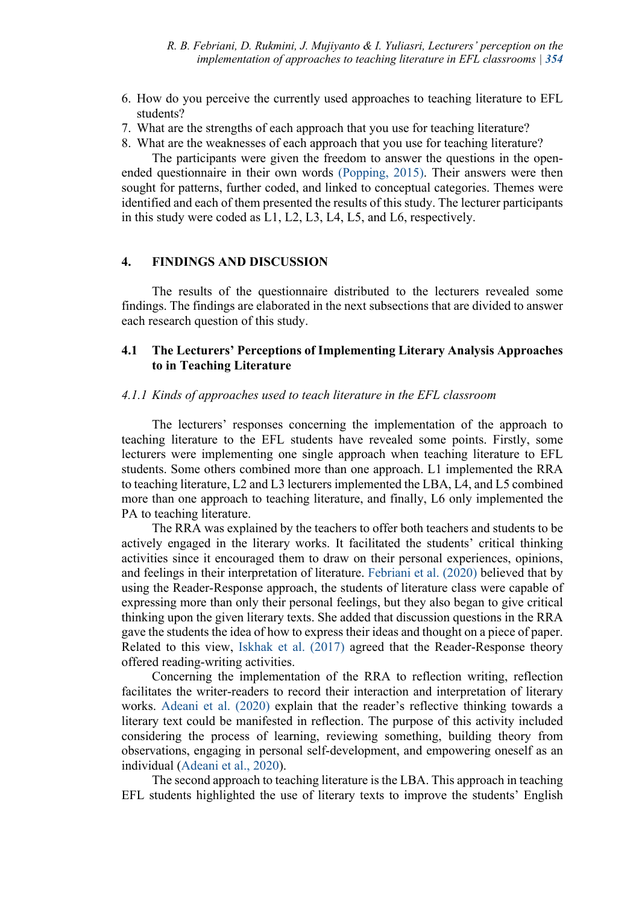- 6. How do you perceive the currently used approaches to teaching literature to EFL students?
- 7. What are the strengths of each approach that you use for teaching literature?
- 8. What are the weaknesses of each approach that you use for teaching literature?

The participants were given the freedom to answer the questions in the openended questionnaire in their own words (Popping, 2015). Their answers were then sought for patterns, further coded, and linked to conceptual categories. Themes were identified and each of them presented the results of this study. The lecturer participants in this study were coded as L1, L2, L3, L4, L5, and L6, respectively.

# **4. FINDINGS AND DISCUSSION**

The results of the questionnaire distributed to the lecturers revealed some findings. The findings are elaborated in the next subsections that are divided to answer each research question of this study.

# **4.1 The Lecturers' Perceptions of Implementing Literary Analysis Approaches to in Teaching Literature**

#### *4.1.1 Kinds of approaches used to teach literature in the EFL classroom*

The lecturers' responses concerning the implementation of the approach to teaching literature to the EFL students have revealed some points. Firstly, some lecturers were implementing one single approach when teaching literature to EFL students. Some others combined more than one approach. L1 implemented the RRA to teaching literature, L2 and L3 lecturers implemented the LBA, L4, and L5 combined more than one approach to teaching literature, and finally, L6 only implemented the PA to teaching literature.

The RRA was explained by the teachers to offer both teachers and students to be actively engaged in the literary works. It facilitated the students' critical thinking activities since it encouraged them to draw on their personal experiences, opinions, and feelings in their interpretation of literature. Febriani et al. (2020) believed that by using the Reader-Response approach, the students of literature class were capable of expressing more than only their personal feelings, but they also began to give critical thinking upon the given literary texts. She added that discussion questions in the RRA gave the students the idea of how to express their ideas and thought on a piece of paper. Related to this view, Iskhak et al. (2017) agreed that the Reader-Response theory offered reading-writing activities.

Concerning the implementation of the RRA to reflection writing, reflection facilitates the writer-readers to record their interaction and interpretation of literary works. Adeani et al. (2020) explain that the reader's reflective thinking towards a literary text could be manifested in reflection. The purpose of this activity included considering the process of learning, reviewing something, building theory from observations, engaging in personal self-development, and empowering oneself as an individual (Adeani et al., 2020).

The second approach to teaching literature is the LBA. This approach in teaching EFL students highlighted the use of literary texts to improve the students' English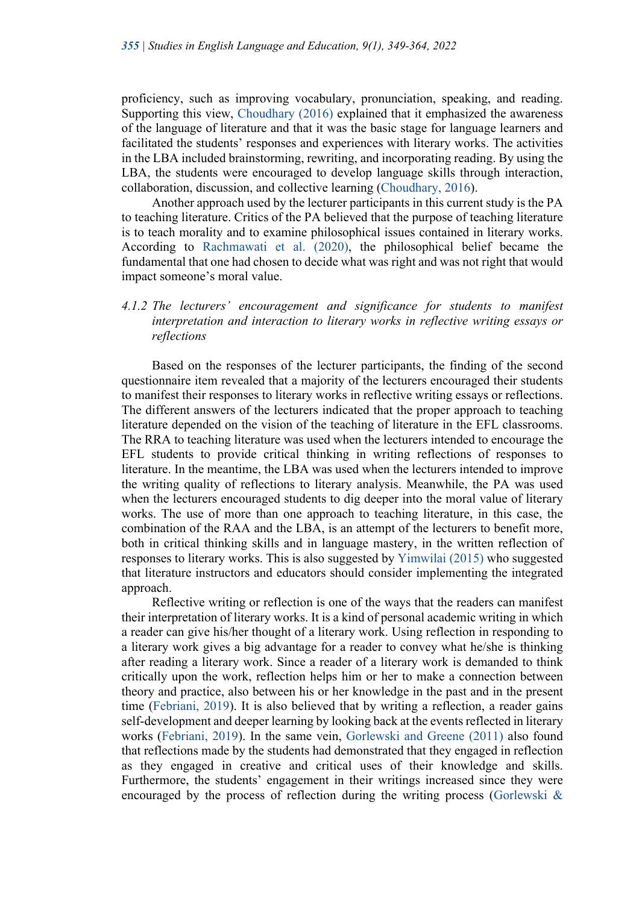proficiency, such as improving vocabulary, pronunciation, speaking, and reading. Supporting this view, Choudhary (2016) explained that it emphasized the awareness of the language of literature and that it was the basic stage for language learners and facilitated the students' responses and experiences with literary works. The activities in the LBA included brainstorming, rewriting, and incorporating reading. By using the LBA, the students were encouraged to develop language skills through interaction, collaboration, discussion, and collective learning (Choudhary, 2016).

Another approach used by the lecturer participants in this current study is the PA to teaching literature. Critics of the PA believed that the purpose of teaching literature is to teach morality and to examine philosophical issues contained in literary works. According to Rachmawati et al. (2020), the philosophical belief became the fundamental that one had chosen to decide what was right and was not right that would impact someone's moral value.

# *4.1.2 The lecturers' encouragement and significance for students to manifest interpretation and interaction to literary works in reflective writing essays or reflections*

Based on the responses of the lecturer participants, the finding of the second questionnaire item revealed that a majority of the lecturers encouraged their students to manifest their responses to literary works in reflective writing essays or reflections. The different answers of the lecturers indicated that the proper approach to teaching literature depended on the vision of the teaching of literature in the EFL classrooms. The RRA to teaching literature was used when the lecturers intended to encourage the EFL students to provide critical thinking in writing reflections of responses to literature. In the meantime, the LBA was used when the lecturers intended to improve the writing quality of reflections to literary analysis. Meanwhile, the PA was used when the lecturers encouraged students to dig deeper into the moral value of literary works. The use of more than one approach to teaching literature, in this case, the combination of the RAA and the LBA, is an attempt of the lecturers to benefit more, both in critical thinking skills and in language mastery, in the written reflection of responses to literary works. This is also suggested by Yimwilai (2015) who suggested that literature instructors and educators should consider implementing the integrated approach.

Reflective writing or reflection is one of the ways that the readers can manifest their interpretation of literary works. It is a kind of personal academic writing in which a reader can give his/her thought of a literary work. Using reflection in responding to a literary work gives a big advantage for a reader to convey what he/she is thinking after reading a literary work. Since a reader of a literary work is demanded to think critically upon the work, reflection helps him or her to make a connection between theory and practice, also between his or her knowledge in the past and in the present time (Febriani, 2019). It is also believed that by writing a reflection, a reader gains self-development and deeper learning by looking back at the events reflected in literary works (Febriani, 2019). In the same vein, Gorlewski and Greene (2011) also found that reflections made by the students had demonstrated that they engaged in reflection as they engaged in creative and critical uses of their knowledge and skills. Furthermore, the students' engagement in their writings increased since they were encouraged by the process of reflection during the writing process (Gorlewski &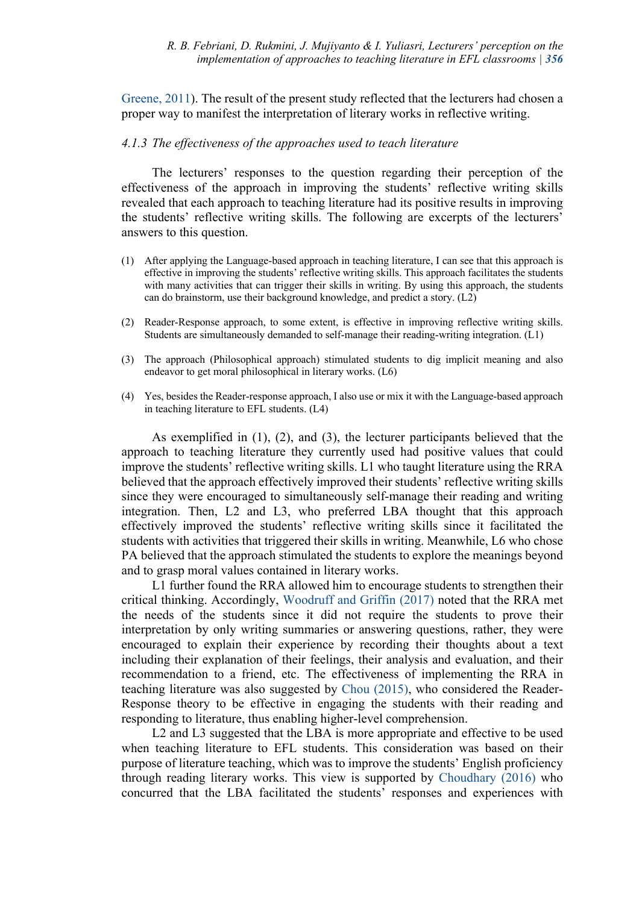Greene, 2011). The result of the present study reflected that the lecturers had chosen a proper way to manifest the interpretation of literary works in reflective writing.

#### *4.1.3 The effectiveness of the approaches used to teach literature*

The lecturers' responses to the question regarding their perception of the effectiveness of the approach in improving the students' reflective writing skills revealed that each approach to teaching literature had its positive results in improving the students' reflective writing skills. The following are excerpts of the lecturers' answers to this question.

- (1) After applying the Language-based approach in teaching literature, I can see that this approach is effective in improving the students' reflective writing skills. This approach facilitates the students with many activities that can trigger their skills in writing. By using this approach, the students can do brainstorm, use their background knowledge, and predict a story. (L2)
- (2) Reader-Response approach, to some extent, is effective in improving reflective writing skills. Students are simultaneously demanded to self-manage their reading-writing integration. (L1)
- (3) The approach (Philosophical approach) stimulated students to dig implicit meaning and also endeavor to get moral philosophical in literary works. (L6)
- (4) Yes, besides the Reader-response approach, I also use or mix it with the Language-based approach in teaching literature to EFL students. (L4)

As exemplified in (1), (2), and (3), the lecturer participants believed that the approach to teaching literature they currently used had positive values that could improve the students' reflective writing skills. L1 who taught literature using the RRA believed that the approach effectively improved their students' reflective writing skills since they were encouraged to simultaneously self-manage their reading and writing integration. Then, L2 and L3, who preferred LBA thought that this approach effectively improved the students' reflective writing skills since it facilitated the students with activities that triggered their skills in writing. Meanwhile, L6 who chose PA believed that the approach stimulated the students to explore the meanings beyond and to grasp moral values contained in literary works.

L1 further found the RRA allowed him to encourage students to strengthen their critical thinking. Accordingly, Woodruff and Griffin (2017) noted that the RRA met the needs of the students since it did not require the students to prove their interpretation by only writing summaries or answering questions, rather, they were encouraged to explain their experience by recording their thoughts about a text including their explanation of their feelings, their analysis and evaluation, and their recommendation to a friend, etc. The effectiveness of implementing the RRA in teaching literature was also suggested by Chou (2015), who considered the Reader-Response theory to be effective in engaging the students with their reading and responding to literature, thus enabling higher-level comprehension.

L<sub>2</sub> and L<sub>3</sub> suggested that the LBA is more appropriate and effective to be used when teaching literature to EFL students. This consideration was based on their purpose of literature teaching, which was to improve the students' English proficiency through reading literary works. This view is supported by Choudhary (2016) who concurred that the LBA facilitated the students' responses and experiences with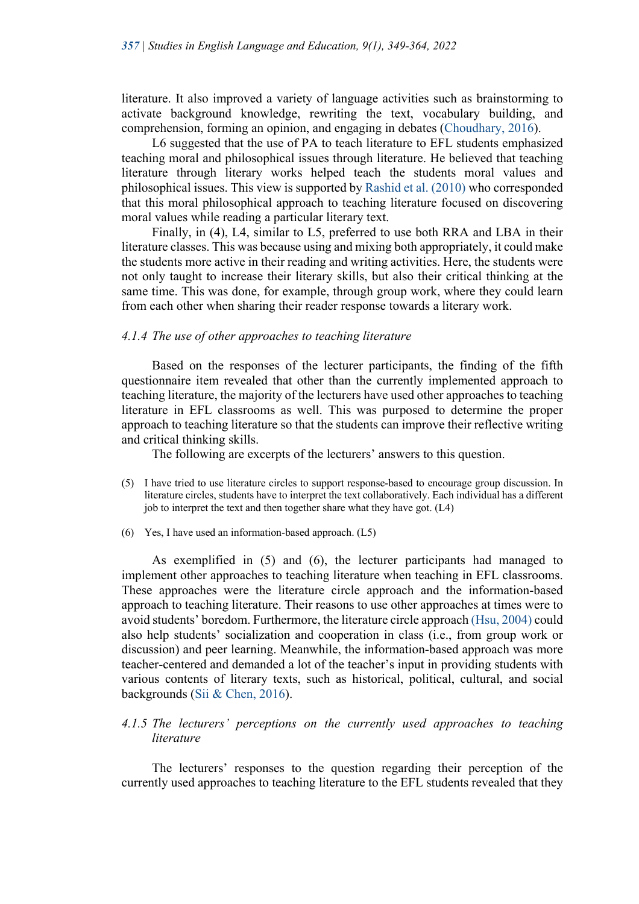literature. It also improved a variety of language activities such as brainstorming to activate background knowledge, rewriting the text, vocabulary building, and comprehension, forming an opinion, and engaging in debates (Choudhary, 2016).

L6 suggested that the use of PA to teach literature to EFL students emphasized teaching moral and philosophical issues through literature. He believed that teaching literature through literary works helped teach the students moral values and philosophical issues. This view is supported by Rashid et al. (2010) who corresponded that this moral philosophical approach to teaching literature focused on discovering moral values while reading a particular literary text.

Finally, in (4), L4, similar to L5, preferred to use both RRA and LBA in their literature classes. This was because using and mixing both appropriately, it could make the students more active in their reading and writing activities. Here, the students were not only taught to increase their literary skills, but also their critical thinking at the same time. This was done, for example, through group work, where they could learn from each other when sharing their reader response towards a literary work.

### *4.1.4 The use of other approaches to teaching literature*

Based on the responses of the lecturer participants, the finding of the fifth questionnaire item revealed that other than the currently implemented approach to teaching literature, the majority of the lecturers have used other approaches to teaching literature in EFL classrooms as well. This was purposed to determine the proper approach to teaching literature so that the students can improve their reflective writing and critical thinking skills.

The following are excerpts of the lecturers' answers to this question.

- (5) I have tried to use literature circles to support response-based to encourage group discussion. In literature circles, students have to interpret the text collaboratively. Each individual has a different job to interpret the text and then together share what they have got. (L4)
- (6) Yes, I have used an information-based approach. (L5)

As exemplified in (5) and (6), the lecturer participants had managed to implement other approaches to teaching literature when teaching in EFL classrooms. These approaches were the literature circle approach and the information-based approach to teaching literature. Their reasons to use other approaches at times were to avoid students' boredom. Furthermore, the literature circle approach (Hsu, 2004) could also help students' socialization and cooperation in class (i.e., from group work or discussion) and peer learning. Meanwhile, the information-based approach was more teacher-centered and demanded a lot of the teacher's input in providing students with various contents of literary texts, such as historical, political, cultural, and social backgrounds (Sii & Chen, 2016).

# *4.1.5 The lecturers' perceptions on the currently used approaches to teaching literature*

The lecturers' responses to the question regarding their perception of the currently used approaches to teaching literature to the EFL students revealed that they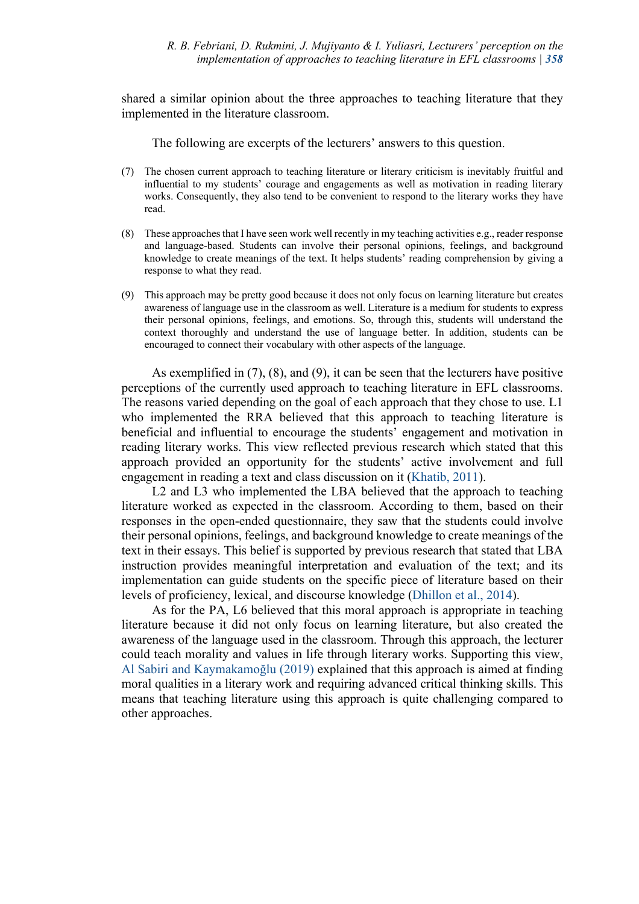shared a similar opinion about the three approaches to teaching literature that they implemented in the literature classroom.

The following are excerpts of the lecturers' answers to this question.

- (7) The chosen current approach to teaching literature or literary criticism is inevitably fruitful and influential to my students' courage and engagements as well as motivation in reading literary works. Consequently, they also tend to be convenient to respond to the literary works they have read.
- (8) These approaches that I have seen work well recently in my teaching activities e.g., reader response and language-based. Students can involve their personal opinions, feelings, and background knowledge to create meanings of the text. It helps students' reading comprehension by giving a response to what they read.
- (9) This approach may be pretty good because it does not only focus on learning literature but creates awareness of language use in the classroom as well. Literature is a medium for students to express their personal opinions, feelings, and emotions. So, through this, students will understand the context thoroughly and understand the use of language better. In addition, students can be encouraged to connect their vocabulary with other aspects of the language.

As exemplified in (7), (8), and (9), it can be seen that the lecturers have positive perceptions of the currently used approach to teaching literature in EFL classrooms. The reasons varied depending on the goal of each approach that they chose to use. L1 who implemented the RRA believed that this approach to teaching literature is beneficial and influential to encourage the students' engagement and motivation in reading literary works. This view reflected previous research which stated that this approach provided an opportunity for the students' active involvement and full engagement in reading a text and class discussion on it (Khatib, 2011).

L2 and L3 who implemented the LBA believed that the approach to teaching literature worked as expected in the classroom. According to them, based on their responses in the open-ended questionnaire, they saw that the students could involve their personal opinions, feelings, and background knowledge to create meanings of the text in their essays. This belief is supported by previous research that stated that LBA instruction provides meaningful interpretation and evaluation of the text; and its implementation can guide students on the specific piece of literature based on their levels of proficiency, lexical, and discourse knowledge (Dhillon et al., 2014).

As for the PA, L6 believed that this moral approach is appropriate in teaching literature because it did not only focus on learning literature, but also created the awareness of the language used in the classroom. Through this approach, the lecturer could teach morality and values in life through literary works. Supporting this view, Al Sabiri and Kaymakamoğlu (2019) explained that this approach is aimed at finding moral qualities in a literary work and requiring advanced critical thinking skills. This means that teaching literature using this approach is quite challenging compared to other approaches.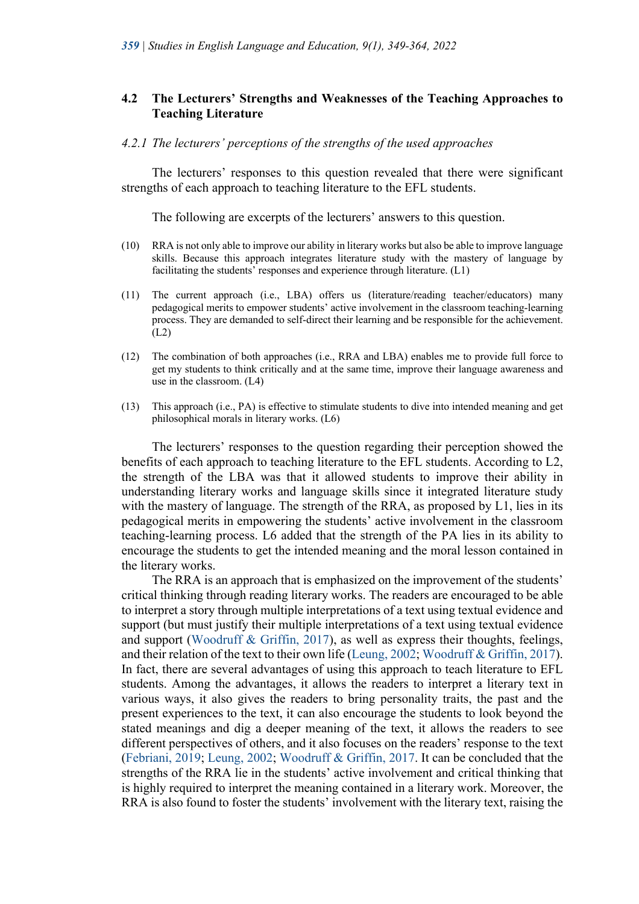## **4.2 The Lecturers' Strengths and Weaknesses of the Teaching Approaches to Teaching Literature**

#### *4.2.1 The lecturers' perceptions of the strengths of the used approaches*

The lecturers' responses to this question revealed that there were significant strengths of each approach to teaching literature to the EFL students.

The following are excerpts of the lecturers' answers to this question.

- (10) RRA is not only able to improve our ability in literary works but also be able to improve language skills. Because this approach integrates literature study with the mastery of language by facilitating the students' responses and experience through literature. (L1)
- (11) The current approach (i.e., LBA) offers us (literature/reading teacher/educators) many pedagogical merits to empower students' active involvement in the classroom teaching-learning process. They are demanded to self-direct their learning and be responsible for the achievement. (L2)
- (12) The combination of both approaches (i.e., RRA and LBA) enables me to provide full force to get my students to think critically and at the same time, improve their language awareness and use in the classroom. (L4)
- (13) This approach (i.e., PA) is effective to stimulate students to dive into intended meaning and get philosophical morals in literary works. (L6)

The lecturers' responses to the question regarding their perception showed the benefits of each approach to teaching literature to the EFL students. According to L2, the strength of the LBA was that it allowed students to improve their ability in understanding literary works and language skills since it integrated literature study with the mastery of language. The strength of the RRA, as proposed by  $L_1$ , lies in its pedagogical merits in empowering the students' active involvement in the classroom teaching-learning process. L6 added that the strength of the PA lies in its ability to encourage the students to get the intended meaning and the moral lesson contained in the literary works.

The RRA is an approach that is emphasized on the improvement of the students' critical thinking through reading literary works. The readers are encouraged to be able to interpret a story through multiple interpretations of a text using textual evidence and support (but must justify their multiple interpretations of a text using textual evidence and support (Woodruff & Griffin, 2017), as well as express their thoughts, feelings, and their relation of the text to their own life (Leung, 2002; Woodruff & Griffin, 2017). In fact, there are several advantages of using this approach to teach literature to EFL students. Among the advantages, it allows the readers to interpret a literary text in various ways, it also gives the readers to bring personality traits, the past and the present experiences to the text, it can also encourage the students to look beyond the stated meanings and dig a deeper meaning of the text, it allows the readers to see different perspectives of others, and it also focuses on the readers' response to the text (Febriani, 2019; Leung, 2002; Woodruff & Griffin, 2017. It can be concluded that the strengths of the RRA lie in the students' active involvement and critical thinking that is highly required to interpret the meaning contained in a literary work. Moreover, the RRA is also found to foster the students' involvement with the literary text, raising the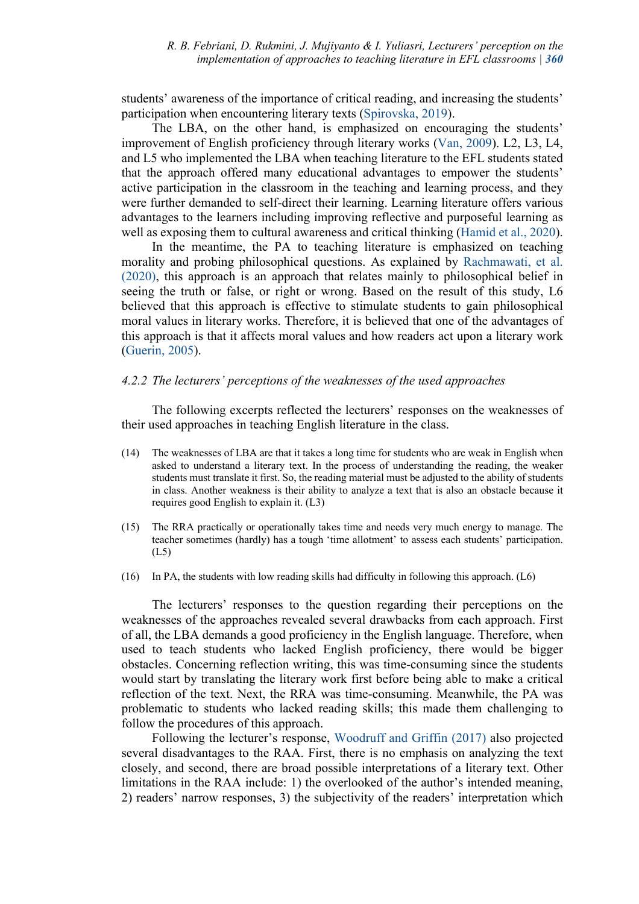students' awareness of the importance of critical reading, and increasing the students' participation when encountering literary texts (Spirovska, 2019).

The LBA, on the other hand, is emphasized on encouraging the students' improvement of English proficiency through literary works (Van, 2009). L2, L3, L4, and L5 who implemented the LBA when teaching literature to the EFL students stated that the approach offered many educational advantages to empower the students' active participation in the classroom in the teaching and learning process, and they were further demanded to self-direct their learning. Learning literature offers various advantages to the learners including improving reflective and purposeful learning as well as exposing them to cultural awareness and critical thinking (Hamid et al., 2020).

In the meantime, the PA to teaching literature is emphasized on teaching morality and probing philosophical questions. As explained by Rachmawati, et al. (2020), this approach is an approach that relates mainly to philosophical belief in seeing the truth or false, or right or wrong. Based on the result of this study, L6 believed that this approach is effective to stimulate students to gain philosophical moral values in literary works. Therefore, it is believed that one of the advantages of this approach is that it affects moral values and how readers act upon a literary work (Guerin, 2005).

## *4.2.2 The lecturers' perceptions of the weaknesses of the used approaches*

The following excerpts reflected the lecturers' responses on the weaknesses of their used approaches in teaching English literature in the class.

- (14) The weaknesses of LBA are that it takes a long time for students who are weak in English when asked to understand a literary text. In the process of understanding the reading, the weaker students must translate it first. So, the reading material must be adjusted to the ability of students in class. Another weakness is their ability to analyze a text that is also an obstacle because it requires good English to explain it. (L3)
- (15) The RRA practically or operationally takes time and needs very much energy to manage. The teacher sometimes (hardly) has a tough 'time allotment' to assess each students' participation. (L5)
- (16) In PA, the students with low reading skills had difficulty in following this approach. (L6)

The lecturers' responses to the question regarding their perceptions on the weaknesses of the approaches revealed several drawbacks from each approach. First of all, the LBA demands a good proficiency in the English language. Therefore, when used to teach students who lacked English proficiency, there would be bigger obstacles. Concerning reflection writing, this was time-consuming since the students would start by translating the literary work first before being able to make a critical reflection of the text. Next, the RRA was time-consuming. Meanwhile, the PA was problematic to students who lacked reading skills; this made them challenging to follow the procedures of this approach.

Following the lecturer's response, Woodruff and Griffin (2017) also projected several disadvantages to the RAA. First, there is no emphasis on analyzing the text closely, and second, there are broad possible interpretations of a literary text. Other limitations in the RAA include: 1) the overlooked of the author's intended meaning, 2) readers' narrow responses, 3) the subjectivity of the readers' interpretation which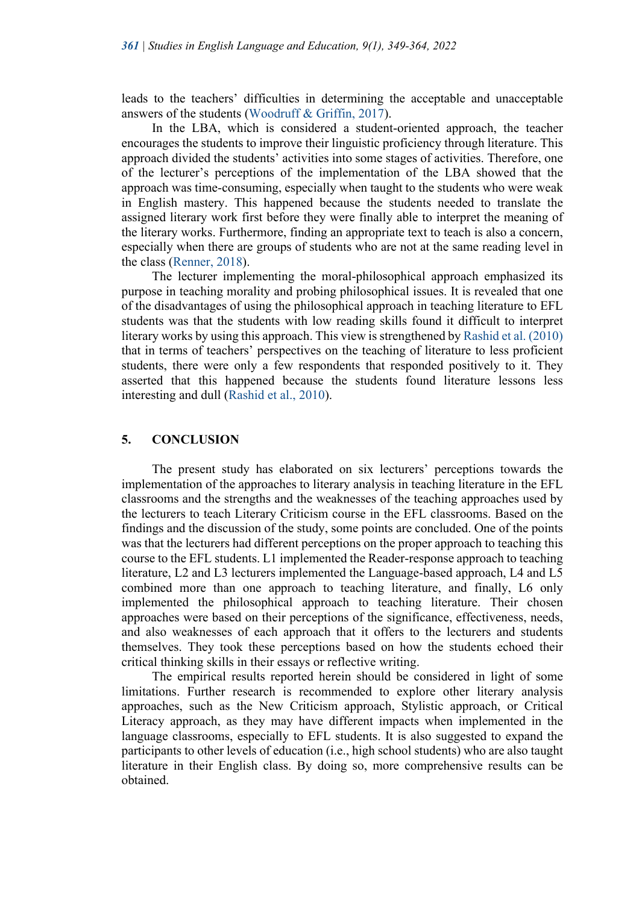leads to the teachers' difficulties in determining the acceptable and unacceptable answers of the students (Woodruff & Griffin, 2017).

In the LBA, which is considered a student-oriented approach, the teacher encourages the students to improve their linguistic proficiency through literature. This approach divided the students' activities into some stages of activities. Therefore, one of the lecturer's perceptions of the implementation of the LBA showed that the approach was time-consuming, especially when taught to the students who were weak in English mastery. This happened because the students needed to translate the assigned literary work first before they were finally able to interpret the meaning of the literary works. Furthermore, finding an appropriate text to teach is also a concern, especially when there are groups of students who are not at the same reading level in the class (Renner, 2018).

The lecturer implementing the moral-philosophical approach emphasized its purpose in teaching morality and probing philosophical issues. It is revealed that one of the disadvantages of using the philosophical approach in teaching literature to EFL students was that the students with low reading skills found it difficult to interpret literary works by using this approach. This view is strengthened by Rashid et al. (2010) that in terms of teachers' perspectives on the teaching of literature to less proficient students, there were only a few respondents that responded positively to it. They asserted that this happened because the students found literature lessons less interesting and dull (Rashid et al., 2010).

#### **5. CONCLUSION**

The present study has elaborated on six lecturers' perceptions towards the implementation of the approaches to literary analysis in teaching literature in the EFL classrooms and the strengths and the weaknesses of the teaching approaches used by the lecturers to teach Literary Criticism course in the EFL classrooms. Based on the findings and the discussion of the study, some points are concluded. One of the points was that the lecturers had different perceptions on the proper approach to teaching this course to the EFL students. L1 implemented the Reader-response approach to teaching literature, L2 and L3 lecturers implemented the Language-based approach, L4 and L5 combined more than one approach to teaching literature, and finally, L6 only implemented the philosophical approach to teaching literature. Their chosen approaches were based on their perceptions of the significance, effectiveness, needs, and also weaknesses of each approach that it offers to the lecturers and students themselves. They took these perceptions based on how the students echoed their critical thinking skills in their essays or reflective writing.

The empirical results reported herein should be considered in light of some limitations. Further research is recommended to explore other literary analysis approaches, such as the New Criticism approach, Stylistic approach, or Critical Literacy approach, as they may have different impacts when implemented in the language classrooms, especially to EFL students. It is also suggested to expand the participants to other levels of education (i.e., high school students) who are also taught literature in their English class. By doing so, more comprehensive results can be obtained.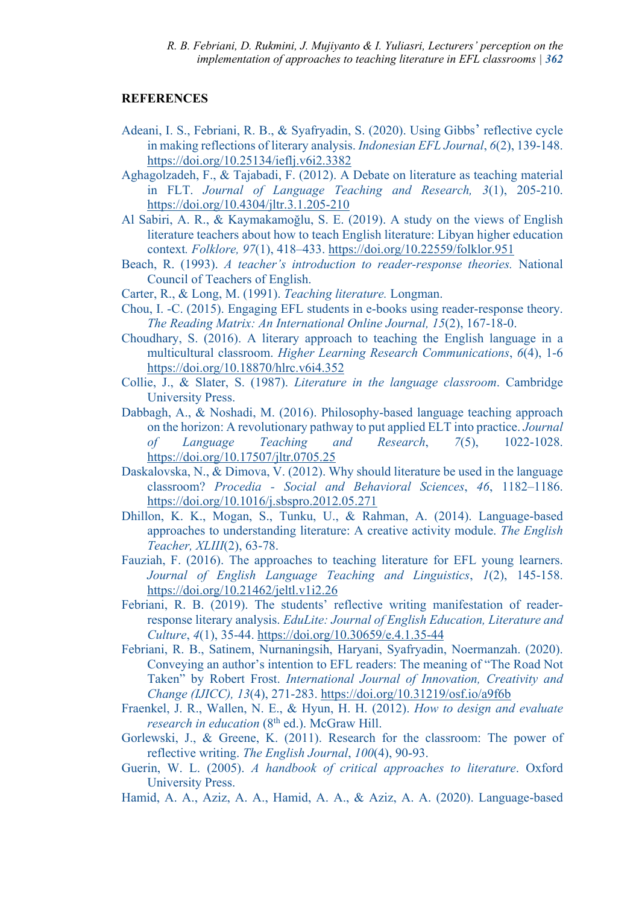## **REFERENCES**

- Adeani, I. S., Febriani, R. B., & Syafryadin, S. (2020). Using Gibbs' reflective cycle in making reflections of literary analysis. *Indonesian EFL Journal*, *6*(2), 139-148. https://doi.org/10.25134/ieflj.v6i2.3382
- Aghagolzadeh, F., & Tajabadi, F. (2012). A Debate on literature as teaching material in FLT. *Journal of Language Teaching and Research, 3*(1), 205-210. https://doi.org/10.4304/jltr.3.1.205-210
- Al Sabiri, A. R., & Kaymakamoğlu, S. E. (2019). A study on the views of English literature teachers about how to teach English literature: Libyan higher education context*. Folklore, 97*(1), 418–433. https://doi.org/10.22559/folklor.951
- Beach, R. (1993). *A teacher's introduction to reader-response theories.* National Council of Teachers of English.
- Carter, R., & Long, M. (1991). *Teaching literature.* Longman.
- Chou, I. -C. (2015). Engaging EFL students in e-books using reader-response theory. *The Reading Matrix: An International Online Journal, 15*(2), 167-18-0.
- Choudhary, S. (2016). A literary approach to teaching the English language in a multicultural classroom. *Higher Learning Research Communications*, *6*(4), 1-6 https://doi.org/10.18870/hlrc.v6i4.352
- Collie, J., & Slater, S. (1987). *Literature in the language classroom*. Cambridge University Press.
- Dabbagh, A., & Noshadi, M. (2016). Philosophy-based language teaching approach on the horizon: A revolutionary pathway to put applied ELT into practice. *Journal of Language Teaching and Research*, *7*(5), 1022-1028. https://doi.org/10.17507/jltr.0705.25
- Daskalovska, N., & Dimova, V. (2012). Why should literature be used in the language classroom? *Procedia - Social and Behavioral Sciences*, *46*, 1182–1186. https://doi.org/10.1016/j.sbspro.2012.05.271
- Dhillon, K. K., Mogan, S., Tunku, U., & Rahman, A. (2014). Language-based approaches to understanding literature: A creative activity module. *The English Teacher, XLIII*(2), 63-78.
- Fauziah, F. (2016). The approaches to teaching literature for EFL young learners. *Journal of English Language Teaching and Linguistics*, *1*(2), 145-158. https://doi.org/10.21462/jeltl.v1i2.26
- Febriani, R. B. (2019). The students' reflective writing manifestation of readerresponse literary analysis. *EduLite: Journal of English Education, Literature and Culture*, *4*(1), 35-44. https://doi.org/10.30659/e.4.1.35-44
- Febriani, R. B., Satinem, Nurnaningsih, Haryani, Syafryadin, Noermanzah. (2020). Conveying an author's intention to EFL readers: The meaning of "The Road Not Taken" by Robert Frost. *International Journal of Innovation, Creativity and Change (IJICC), 13*(4), 271-283. https://doi.org/10.31219/osf.io/a9f6b
- Fraenkel, J. R., Wallen, N. E., & Hyun, H. H. (2012). *How to design and evaluate research in education* (8<sup>th</sup> ed.). McGraw Hill.
- Gorlewski, J., & Greene, K. (2011). Research for the classroom: The power of reflective writing. *The English Journal*, *100*(4), 90-93.
- Guerin, W. L. (2005). *A handbook of critical approaches to literature*. Oxford University Press.
- Hamid, A. A., Aziz, A. A., Hamid, A. A., & Aziz, A. A. (2020). Language-based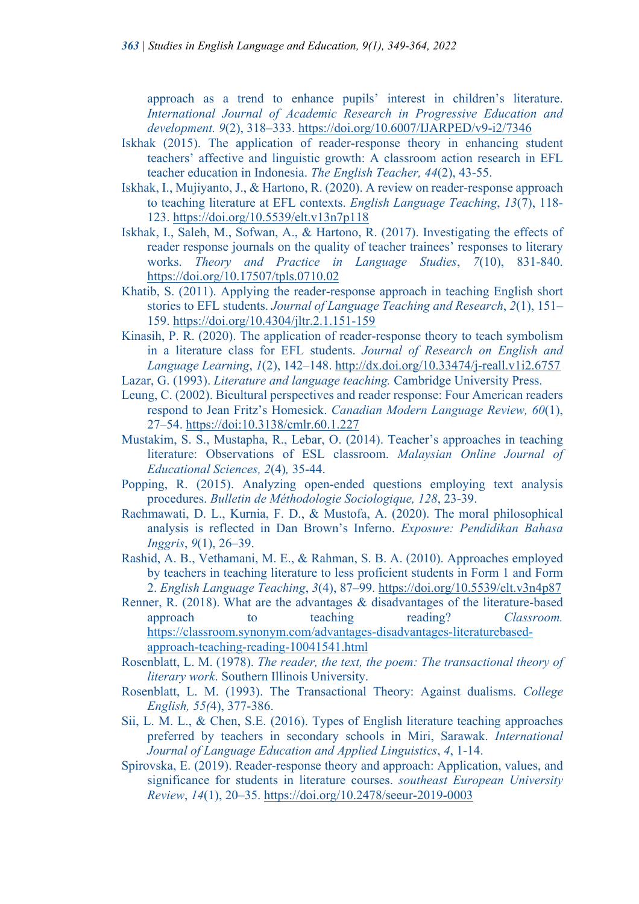approach as a trend to enhance pupils' interest in children's literature. *International Journal of Academic Research in Progressive Education and development. 9*(2), 318–333. https://doi.org/10.6007/IJARPED/v9-i2/7346

- Iskhak (2015). The application of reader-response theory in enhancing student teachers' affective and linguistic growth: A classroom action research in EFL teacher education in Indonesia. *The English Teacher, 44*(2), 43-55.
- Iskhak, I., Mujiyanto, J., & Hartono, R. (2020). A review on reader-response approach to teaching literature at EFL contexts. *English Language Teaching*, *13*(7), 118- 123. https://doi.org/10.5539/elt.v13n7p118
- Iskhak, I., Saleh, M., Sofwan, A., & Hartono, R. (2017). Investigating the effects of reader response journals on the quality of teacher trainees' responses to literary works. *Theory and Practice in Language Studies*, *7*(10), 831-840. https://doi.org/10.17507/tpls.0710.02
- Khatib, S. (2011). Applying the reader-response approach in teaching English short stories to EFL students. *Journal of Language Teaching and Research*, *2*(1), 151– 159. https://doi.org/10.4304/jltr.2.1.151-159
- Kinasih, P. R. (2020). The application of reader-response theory to teach symbolism in a literature class for EFL students. *Journal of Research on English and Language Learning*, *1*(2), 142–148. http://dx.doi.org/10.33474/j-reall.v1i2.6757
- Lazar, G. (1993). *Literature and language teaching.* Cambridge University Press.
- Leung, C. (2002). Bicultural perspectives and reader response: Four American readers respond to Jean Fritz's Homesick. *Canadian Modern Language Review, 60*(1), 27–54. https://doi:10.3138/cmlr.60.1.227
- Mustakim, S. S., Mustapha, R., Lebar, O. (2014). Teacher's approaches in teaching literature: Observations of ESL classroom. *Malaysian Online Journal of Educational Sciences, 2*(4)*,* 35-44.
- Popping, R. (2015). Analyzing open-ended questions employing text analysis procedures. *Bulletin de Méthodologie Sociologique, 128*, 23-39.
- Rachmawati, D. L., Kurnia, F. D., & Mustofa, A. (2020). The moral philosophical analysis is reflected in Dan Brown's Inferno. *Exposure: Pendidikan Bahasa Inggris*, *9*(1), 26–39.
- Rashid, A. B., Vethamani, M. E., & Rahman, S. B. A. (2010). Approaches employed by teachers in teaching literature to less proficient students in Form 1 and Form 2. *English Language Teaching*, *3*(4), 87–99. https://doi.org/10.5539/elt.v3n4p87
- Renner, R. (2018). What are the advantages & disadvantages of the literature-based approach to teaching reading? *Classroom.* https://classroom.synonym.com/advantages-disadvantages-literaturebasedapproach-teaching-reading-10041541.html
- Rosenblatt, L. M. (1978). *The reader, the text, the poem: The transactional theory of literary work*. Southern Illinois University.
- Rosenblatt, L. M. (1993). The Transactional Theory: Against dualisms. *College English, 55(*4), 377-386.
- Sii, L. M. L., & Chen, S.E. (2016). Types of English literature teaching approaches preferred by teachers in secondary schools in Miri, Sarawak. *International Journal of Language Education and Applied Linguistics*, *4*, 1-14.
- Spirovska, E. (2019). Reader-response theory and approach: Application, values, and significance for students in literature courses. *southeast European University Review*, *14*(1), 20–35. https://doi.org/10.2478/seeur-2019-0003